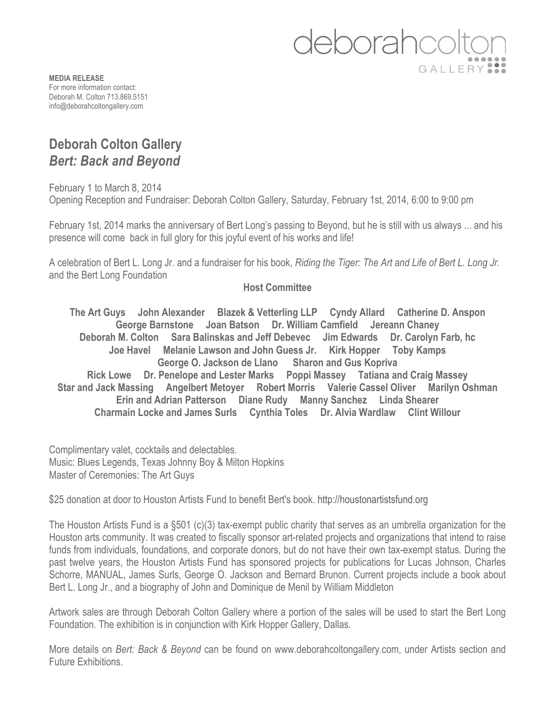

**MEDIA RELEASE** For more information contact: Deborah M. Colton 713.869.5151 info@deborahcoltongallery.com

## **Deborah Colton Gallery**  *Bert: Back and Beyond*

February 1 to March 8, 2014 Opening Reception and Fundraiser: Deborah Colton Gallery, Saturday, February 1st, 2014, 6:00 to 9:00 pm

February 1st, 2014 marks the anniversary of Bert Long's passing to Beyond, but he is still with us always ... and his presence will come back in full glory for this joyful event of his works and life!

A celebration of Bert L. Long Jr. and a fundraiser for his book, *Riding the Tiger: The Art and Life of Bert L. Long Jr.* and the Bert Long Foundation

## **Host Committee**

**The Art Guys John Alexander Blazek & Vetterling LLP Cyndy Allard Catherine D. Anspon George Barnstone Joan Batson Dr. William Camfield Jereann Chaney Deborah M. Colton Sara Balinskas and Jeff Debevec Jim Edwards Dr. Carolyn Farb, hc Joe Havel Melanie Lawson and John Guess Jr. Kirk Hopper Toby Kamps George O. Jackson de Llano Sharon and Gus Kopriva Rick Lowe Dr. Penelope and Lester Marks Poppi Massey Tatiana and Craig Massey Star and Jack Massing Angelbert Metoyer Robert Morris Valerie Cassel Oliver Marilyn Oshman Erin and Adrian Patterson Diane Rudy Manny Sanchez Linda Shearer Charmain Locke and James Surls Cynthia Toles Dr. Alvia Wardlaw Clint Willour**

Complimentary valet, cocktails and delectables. Music: Blues Legends, Texas Johnny Boy & Milton Hopkins Master of Ceremonies: The Art Guys

\$25 donation at door to Houston Artists Fund to benefit Bert's book. http://houstonartistsfund.org

The Houston Artists Fund is a §501 (c)(3) tax-exempt public charity that serves as an umbrella organization for the Houston arts community. It was created to fiscally sponsor art-related projects and organizations that intend to raise funds from individuals, foundations, and corporate donors, but do not have their own tax-exempt status. During the past twelve years, the Houston Artists Fund has sponsored projects for publications for Lucas Johnson, Charles Schorre, MANUAL, James Surls, George O. Jackson and Bernard Brunon. Current projects include a book about Bert L. Long Jr., and a biography of John and Dominique de Menil by William Middleton

Artwork sales are through Deborah Colton Gallery where a portion of the sales will be used to start the Bert Long Foundation. The exhibition is in conjunction with Kirk Hopper Gallery, Dallas.

More details on *Bert: Back & Beyond* can be found on www.deborahcoltongallery.com, under Artists section and Future Exhibitions.